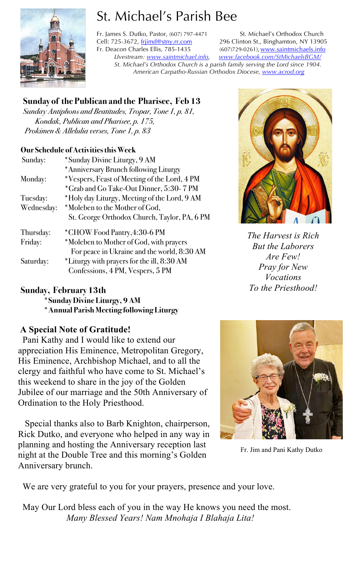

# St. Michael's Parish Bee

Fr. James S. Dutko, Pastor, (607) 797-4471 St. Michael's Orthodox Church Cell: 725-3672, frijimd@stny.rr.com 296 Clinton St., Binghamton, NY 13905 Fr. Deacon Charles Ellis, 785-1435 (607)729-0261), www.saintmichaels.info *LIvestream: www.saintmichael.info, www.facebook.com/StMichaelsBGM/ St. Michael's Orthodox Church is a parish family serving the Lord since 1904. American Carpatho-Russian Orthodox Diocese, www.acrod.org*

# **Sunday of the Publican and the Pharisee, Feb 13**

*Sunday Antiphons and Beatitudes, Tropar, Tone 1, p. 81, Kondak, Publican and Pharisee, p. 175, Prokimen & Allelulia verses, Tone 1, p. 83* 

## **Our Schedule of Activities this Week**

| Sunday:    | *Sunday Divine Liturgy, 9 AM                                                           |  |  |
|------------|----------------------------------------------------------------------------------------|--|--|
|            | *Anniversary Brunch following Liturgy                                                  |  |  |
| Monday:    | *Vespers, Feast of Meeting of the Lord, 4 PM                                           |  |  |
|            | *Grab and Go Take-Out Dinner, 5:30-7 PM                                                |  |  |
| Tuesday:   | *Holy day Liturgy, Meeting of the Lord, 9 AM                                           |  |  |
| Wednesday: | *Moleben to the Mother of God,                                                         |  |  |
|            | St. George Orthodox Church, Taylor, PA, 6 PM                                           |  |  |
| Thursday:  | *CHOW Food Pantry,4:30-6 PM                                                            |  |  |
| Friday:    | *Moleben to Mother of God, with prayers<br>For peace in Ukraine and the world, 8:30 AM |  |  |
| Saturday:  | *Liturgy with prayers for the ill, 8:30 AM<br>Confessions, 4 PM, Vespers, 5 PM         |  |  |

# **Sunday, February 13th**

**\*Sunday Divine Liturgy, 9 AM \*Annual Parish Meeting following Liturgy**

# **A Special Note of Gratitude!**

 Pani Kathy and I would like to extend our appreciation His Eminence, Metropolitan Gregory, His Eminence, Archbishop Michael, and to all the clergy and faithful who have come to St. Michael's this weekend to share in the joy of the Golden Jubilee of our marriage and the 50th Anniversary of Ordination to the Holy Priesthood.

 Special thanks also to Barb Knighton, chairperson, Rick Dutko, and everyone who helped in any way in planning and hosting the Anniversary reception last night at the Double Tree and this morning's Golden Anniversary brunch.



*The Harvest is Rich But the Laborers Are Few! Pray for New Vocations To the Priesthood!*



Fr. Jim and Pani Kathy Dutko

We are very grateful to you for your prayers, presence and your love.

 May Our Lord bless each of you in the way He knows you need the most.  *Many Blessed Years! Nam Mnohaja I Blahaja Lita!*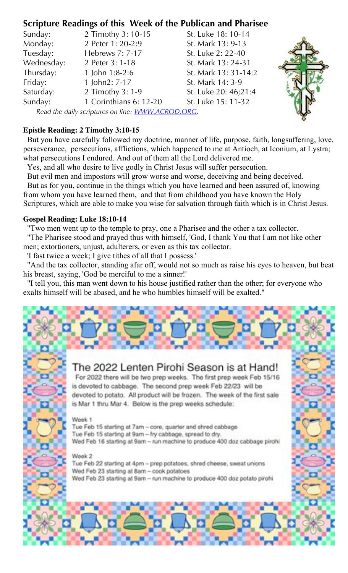# **Scripture Readings of this Week of the Publican and Pharisee**

| Sunday:                                           | 2 Timothy 3: 10-15     | St. Luke 18: 10-14   |  |
|---------------------------------------------------|------------------------|----------------------|--|
| Monday:                                           | 2 Peter 1: 20-2:9      | St. Mark 13: 9-13    |  |
| Tuesday:                                          | Hebrews 7: 7-17        | St. Luke 2: 22-40    |  |
| Wednesday:                                        | 2 Peter 3: 1-18        | St. Mark 13: 24-31   |  |
| Thursday:                                         | 1 John $1:8-2:6$       | St. Mark 13: 31-14:2 |  |
| Friday:                                           | 1 John2: 7-17          | St. Mark 14: 3-9     |  |
| Saturday:                                         | 2 Timothy 3: 1-9       | St. Luke 20: 46;21:4 |  |
| Sunday:                                           | 1 Corinthians 6: 12-20 | St. Luke 15: 11-32   |  |
| Read the daily scriptures on line: WWW.ACROD.ORG. |                        |                      |  |

#### **Epistle Reading: 2 Timothy 3:10-15**

 But you have carefully followed my doctrine, manner of life, purpose, faith, longsuffering, love, perseverance, persecutions, afflictions, which happened to me at Antioch, at Iconium, at Lystra; what persecutions I endured. And out of them all the Lord delivered me.

Yes, and all who desire to live godly in Christ Jesus will suffer persecution.

 But evil men and impostors will grow worse and worse, deceiving and being deceived. But as for you, continue in the things which you have learned and been assured of, knowing from whom you have learned them, and that from childhood you have known the Holy Scriptures, which are able to make you wise for salvation through faith which is in Christ Jesus.

## **Gospel Reading: Luke 18:10-14**

"Two men went up to the temple to pray, one a Pharisee and the other a tax collector.

 "The Pharisee stood and prayed thus with himself, 'God, I thank You that I am not like other men; extortioners, unjust, adulterers, or even as this tax collector.

'I fast twice a week; I give tithes of all that I possess.'

 "And the tax collector, standing afar off, would not so much as raise his eyes to heaven, but beat his breast, saying, 'God be merciful to me a sinner!'

 "I tell you, this man went down to his house justified rather than the other; for everyone who exalts himself will be abased, and he who humbles himself will be exalted."

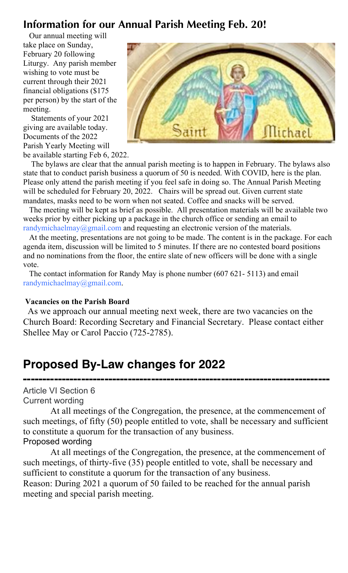# **Information for our Annual Parish Meeting Feb. 20!**

 Our annual meeting will take place on Sunday, February 20 following Liturgy. Any parish member wishing to vote must be current through their 2021 financial obligations (\$175 per person) by the start of the meeting.

 Statements of your 2021 giving are available today. Documents of the 2022 Parish Yearly Meeting will be available starting Feb 6, 2022.



 The bylaws are clear that the annual parish meeting is to happen in February. The bylaws also state that to conduct parish business a quorum of 50 is needed. With COVID, here is the plan. Please only attend the parish meeting if you feel safe in doing so. The Annual Parish Meeting will be scheduled for February 20, 2022. Chairs will be spread out. Given current state mandates, masks need to be worn when not seated. Coffee and snacks will be served.

 The meeting will be kept as brief as possible. All presentation materials will be available two weeks prior by either picking up a package in the church office or sending an email to randymichaelmay@gmail.com and requesting an electronic version of the materials.

 At the meeting, presentations are not going to be made. The content is in the package. For each agenda item, discussion will be limited to 5 minutes. If there are no contested board positions and no nominations from the floor, the entire slate of new officers will be done with a single vote.

 The contact information for Randy May is phone number (607 621- 5113) and email randymichaelmay@gmail.com.

#### **Vacancies on the Parish Board**

 As we approach our annual meeting next week, there are two vacancies on the Church Board: Recording Secretary and Financial Secretary. Please contact either Shellee May or Carol Paccio (725-2785).

# **Proposed By-Law changes for 2022**

**-------------------------------------------------------------------------------** Article VI Section 6 Current wording

At all meetings of the Congregation, the presence, at the commencement of such meetings, of fifty (50) people entitled to vote, shall be necessary and sufficient to constitute a quorum for the transaction of any business. Proposed wording

At all meetings of the Congregation, the presence, at the commencement of such meetings, of thirty-five (35) people entitled to vote, shall be necessary and sufficient to constitute a quorum for the transaction of any business.

Reason: During 2021 a quorum of 50 failed to be reached for the annual parish meeting and special parish meeting.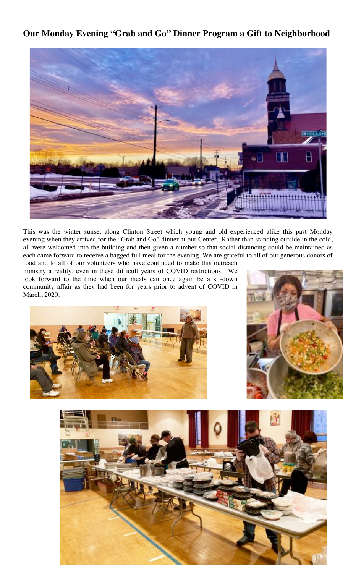## **Our Monday Evening "Grab and Go" Dinner Program a Gift to Neighborhood**



This was the winter sunset along Clinton Street which young and old experienced alike this past Monday evening when they arrived for the "Grab and Go" dinner at our Center. Rather than standing outside in the cold, all were welcomed into the building and then given a number so that social distancing could be maintained as each came forward to receive a bagged full meal for the evening. We are grateful to all of our generous donors of

food and to all of our volunteers who have continued to make this outreach ministry a reality, even in these difficult years of COVID restrictions. We look forward to the time when our meals can once again be a sit-down community affair as they had been for years prior to advent of COVID in March, 2020.





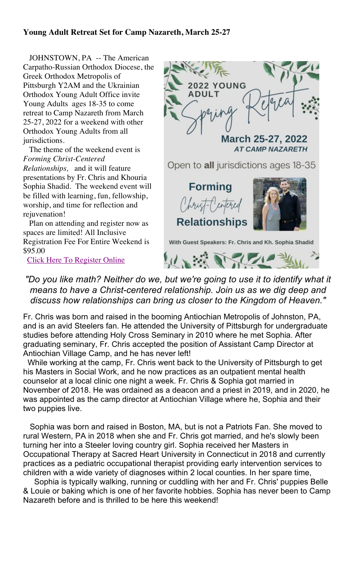#### **Young Adult Retreat Set for Camp Nazareth, March 25-27**

 JOHNSTOWN, PA -- The American Carpatho-Russian Orthodox Diocese, the Greek Orthodox Metropolis of Pittsburgh Y2AM and the Ukrainian Orthodox Young Adult Office invite Young Adults ages 18-35 to come retreat to Camp Nazareth from March 25-27, 2022 for a weekend with other Orthodox Young Adults from all jurisdictions.

 The theme of the weekend event is *Forming Christ-Centered Relationships,* and it will feature presentations by Fr. Chris and Khouria Sophia Shadid. The weekend event will be filled with learning, fun, fellowship, worship, and time for reflection and rejuvenation!

 Plan on attending and register now as spaces are limited! All Inclusive Registration Fee For Entire Weekend is \$95.00

Click Here To Register Online



*"Do you like math? Neither do we, but we're going to use it to identify what it means to have a Christ-centered relationship. Join us as we dig deep and discuss how relationships can bring us closer to the Kingdom of Heaven."*

Fr. Chris was born and raised in the booming Antiochian Metropolis of Johnston, PA, and is an avid Steelers fan. He attended the University of Pittsburgh for undergraduate studies before attending Holy Cross Seminary in 2010 where he met Sophia. After graduating seminary, Fr. Chris accepted the position of Assistant Camp Director at Antiochian Village Camp, and he has never left!

 While working at the camp, Fr. Chris went back to the University of Pittsburgh to get his Masters in Social Work, and he now practices as an outpatient mental health counselor at a local clinic one night a week. Fr. Chris & Sophia got married in November of 2018. He was ordained as a deacon and a priest in 2019, and in 2020, he was appointed as the camp director at Antiochian Village where he, Sophia and their two puppies live.

 Sophia was born and raised in Boston, MA, but is not a Patriots Fan. She moved to rural Western, PA in 2018 when she and Fr. Chris got married, and he's slowly been turning her into a Steeler loving country girl. Sophia received her Masters in Occupational Therapy at Sacred Heart University in Connecticut in 2018 and currently practices as a pediatric occupational therapist providing early intervention services to children with a wide variety of diagnoses within 2 local counties. In her spare time,

 Sophia is typically walking, running or cuddling with her and Fr. Chris' puppies Belle & Louie or baking which is one of her favorite hobbies. Sophia has never been to Camp Nazareth before and is thrilled to be here this weekend!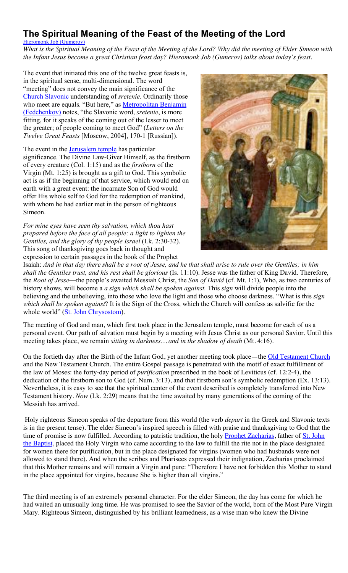# **The Spiritual Meaning of the Feast of the Meeting of the Lord**

Hieromonk Job (Gumerov) *What is the Spiritual Meaning of the Feast of the Meeting of the Lord? Why did the meeting of Elder Simeon with the Infant Jesus become a great Christian feast day? Hieromonk Job (Gumerov) talks about today's feast.*

The event that initiated this one of the twelve great feasts is, in the spiritual sense, multi-dimensional. The word "meeting" does not convey the main significance of the Church Slavonic understanding of *sretenie*. Ordinarily those who meet are equals. "But here," as **Metropolitan Benjamin** (Fedchenkov) notes, "the Slavonic word, *sretenie*, is more fitting, for it speaks of the coming out of the lesser to meet the greater; of people coming to meet God" (*Letters on the Twelve Great Feasts* [Moscow, 2004], 170-1 [Russian]).

The event in the **Jerusalem temple** has particular significance. The Divine Law-Giver Himself, as the firstborn of every creature (Col. 1:15) and as the *firstborn* of the Virgin (Mt. 1:25) is brought as a gift to God. This symbolic act is as if the beginning of that service, which would end on earth with a great event: the incarnate Son of God would offer His whole self to God for the redemption of mankind, with whom he had earlier met in the person of righteous Simeon.

*For mine eyes have seen thy salvation, which thou hast prepared before the face of all people; a light to lighten the Gentiles, and the glory of thy people Israel* (Lk. 2:30-32). This song of thanksgiving goes back in thought and expression to certain passages in the book of the Prophet



Isaiah: *And in that day there shall be a root of Jesse, and he that shall arise to rule over the Gentiles; in him shall the Gentiles trust, and his rest shall be glorious* (Is. 11:10). Jesse was the father of King David. Therefore, the *Root of Jesse*—the people's awaited Messiah Christ, the *Son of David* (cf. Mt. 1:1), Who, as two centuries of history shows, will become a *a sign which shall be spoken against.* This *sign* will divide people into the believing and the unbelieving, into those who love the light and those who choose darkness. "What is this *sign which shall be spoken against*? It is the Sign of the Cross, which the Church will confess as salvific for the whole world" (St. John Chrysostom).

The meeting of God and man, which first took place in the Jerusalem temple, must become for each of us a personal event. Our path of salvation must begin by a meeting with Jesus Christ as our personal Savior. Until this meeting takes place, we remain *sitting in darkness… and in the shadow of death* (Mt. 4:16).

On the fortieth day after the Birth of the Infant God, yet another meeting took place—the Old Testament Church and the New Testament Church. The entire Gospel passage is penetrated with the motif of exact fulfillment of the law of Moses: the forty-day period of *purification* prescribed in the book of Leviticus (cf. 12:2-4), the dedication of the firstborn son to God (cf. Num. 3:13), and that firstborn son's symbolic redemption (Ex. 13:13). Nevertheless, it is easy to see that the spiritual center of the event described is completely transferred into New Testament history. *Now* (Lk. 2:29) means that the time awaited by many generations of the coming of the Messiah has arrived.

Holy righteous Simeon speaks of the departure from this world (the verb *depart* in the Greek and Slavonic texts is in the present tense). The elder Simeon's inspired speech is filled with praise and thanksgiving to God that the time of promise is now fulfilled. According to patristic tradition, the holy Prophet Zacharias, father of St. John the Baptist, placed the Holy Virgin who came according to the law to fulfill the rite not in the place designated for women there for purification, but in the place designated for virgins (women who had husbands were not allowed to stand there). And when the scribes and Pharisees expressed their indignation, Zacharias proclaimed that this Mother remains and will remain a Virgin and pure: "Therefore I have not forbidden this Mother to stand in the place appointed for virgins, because She is higher than all virgins."

The third meeting is of an extremely personal character. For the elder Simeon, the day has come for which he had waited an unusually long time. He was promised to see the Savior of the world, born of the Most Pure Virgin Mary. Righteous Simeon, distinguished by his brilliant learnedness, as a wise man who knew the Divine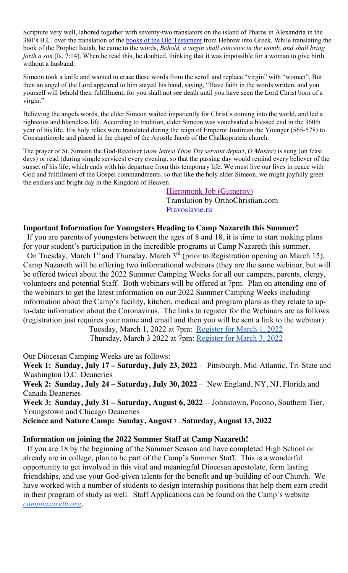Scripture very well, labored together with seventy-two translators on the island of Pharos in Alexandria in the 380's B.C. over the translation of the books of the Old Testament from Hebrew into Greek. While translating the book of the Prophet Isaiah, he came to the words, *Behold, a virgin shall conceive in the womb, and shall bring forth a son* (Is. 7:14). When he read this, he doubted, thinking that it was impossible for a woman to give birth without a husband.

Simeon took a knife and wanted to erase these words from the scroll and replace "virgin" with "woman". But then an angel of the Lord appeared to him stayed his hand, saying, "Have faith in the words written, and you yourself will behold their fulfillment, for you shall not see death until you have seen the Lord Christ born of a virgin."

Believing the angels words, the elder Simeon waited impatiently for Christ's coming into the world, and led a righteous and blameless life. According to tradition, elder Simeon was vouchsafed a blessed end in the 360th year of his life. His holy relics were translated during the reign of Emperor Justinian the Younger (565-578) to Constantinople and placed in the chapel of the Apostle Jacob of the Chalkoprateia church.

The prayer of St. Simeon the God-Receiver (*now lettest Thou Thy servant depart, O Master*) is sung (on feast days) or read (during simple services) every evening, so that the passing day would remind every believer of the sunset of his life, which ends with his departure from this temporary life. We must live our lives in peace with God and fulfillment of the Gospel commandments, so that like the holy elder Simeon, we might joyfully greet the endless and bright day in the Kingdom of Heaven.

> Hieromonk Job (Gumerov) Translation by OrthoChristian.com Pravoslavie.ru

#### **Important Information for Youngsters Heading to Camp Nazareth this Summer!**

 If you are parents of youngsters between the ages of 8 and 18, it is time to start making plans for your student's participation in the incredible programs at Camp Nazareth this summer.

On Tuesday, March 1<sup>st</sup> and Thursday, March  $3<sup>rd</sup>$  (prior to Registration opening on March 15), Camp Nazareth will be offering two informational webinars (they are the same webinar, but will be offered twice) about the 2022 Summer Camping Weeks for all our campers, parents, clergy, volunteers and potential Staff. Both webinars will be offered at 7pm. Plan on attending one of the webinars to get the latest information on our 2022 Summer Camping Weeks including information about the Camp's facility, kitchen, medical and program plans as they relate to upto-date information about the Coronavirus. The links to register for the Webinars are as follows (registration just requires your name and email and then you will be sent a link to the webinar):

> Tuesday, March 1, 2022 at 7pm: Register for March 1, 2022 Thursday, March 3 2022 at 7pm: Register for March 3, 2022

Our Diocesan Camping Weeks are as follows:

**Week 1: Sunday, July 17 – Saturday, July 23, 2022** – Pittsburgh, Mid-Atlantic, Tri-State and Washington D.C. Deaneries

**Week 2: Sunday, July 24 – Saturday, July 30, 2022** – New England, NY, NJ, Florida and Canada Deaneries

**Week 3: Sunday, July 31 – Saturday, August 6, 2022** -- Johnstown, Pocono, Southern Tier, Youngstown and Chicago Deaneries

**Science and Nature Camp: Sunday, August 7 – Saturday, August 13, 2022**

#### **Information on joining the 2022 Summer Staff at Camp Nazareth!**

If you are 18 by the beginning of the Summer Season and have completed High School or already are in college, plan to be part of the Camp's Summer Staff. This is a wonderful opportunity to get involved in this vital and meaningful Diocesan apostolate, form lasting friendships, and use your God-given talents for the benefit and up-building of our Church. We have worked with a number of students to design internship positions that help them earn credit in their program of study as well. Staff Applications can be found on the Camp's website *campnazareth.org*.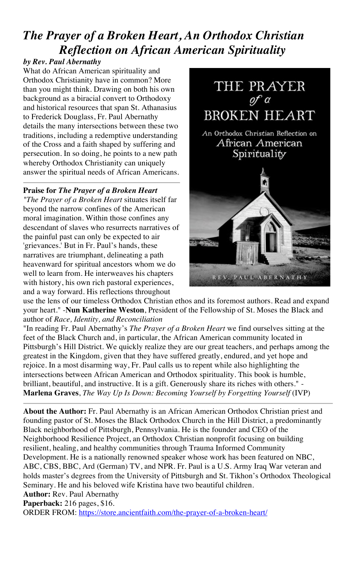# *The Prayer of a Broken Heart, An Orthodox Christian Reflection on African American Spirituality*

## *by Rev. Paul Abernathy*

What do African American spirituality and Orthodox Christianity have in common? More than you might think. Drawing on both his own background as a biracial convert to Orthodoxy and historical resources that span St. Athanasius to Frederick Douglass, Fr. Paul Abernathy details the many intersections between these two traditions, including a redemptive understanding of the Cross and a faith shaped by suffering and persecution. In so doing, he points to a new path whereby Orthodox Christianity can uniquely answer the spiritual needs of African Americans.

## **Praise for** *The Prayer of a Broken Heart*

*"The Prayer of a Broken Heart* situates itself far beyond the narrow confines of the American moral imagination. Within those confines any descendant of slaves who resurrects narratives of the painful past can only be expected to air 'grievances.' But in Fr. Paul's hands, these narratives are triumphant, delineating a path heavenward for spiritual ancestors whom we do well to learn from. He interweaves his chapters with history, his own rich pastoral experiences, and a way forward. His reflections throughout



use the lens of our timeless Orthodox Christian ethos and its foremost authors. Read and expand your heart." -**Nun Katherine Weston**, President of the Fellowship of St. Moses the Black and author of *Race, Identity, and Reconciliation*

"In reading Fr. Paul Abernathy's *The Prayer of a Broken Heart* we find ourselves sitting at the feet of the Black Church and, in particular, the African American community located in Pittsburgh's Hill District. We quickly realize they are our great teachers, and perhaps among the greatest in the Kingdom, given that they have suffered greatly, endured, and yet hope and rejoice. In a most disarming way, Fr. Paul calls us to repent while also highlighting the intersections between African American and Orthodox spirituality. This book is humble, brilliant, beautiful, and instructive. It is a gift. Generously share its riches with others." - **Marlena Graves**, *The Way Up Is Down: Becoming Yourself by Forgetting Yourself* (IVP)

**About the Author:** Fr. Paul Abernathy is an African American Orthodox Christian priest and founding pastor of St. Moses the Black Orthodox Church in the Hill District, a predominantly Black neighborhood of Pittsburgh, Pennsylvania. He is the founder and CEO of the Neighborhood Resilience Project, an Orthodox Christian nonprofit focusing on building resilient, healing, and healthy communities through Trauma Informed Community Development. He is a nationally renowned speaker whose work has been featured on NBC, ABC, CBS, BBC, Ard (German) TV, and NPR. Fr. Paul is a U.S. Army Iraq War veteran and holds master's degrees from the University of Pittsburgh and St. Tikhon's Orthodox Theological Seminary. He and his beloved wife Kristina have two beautiful children.

#### **Author:** Rev. Paul Abernathy

**Paperback:** 216 pages, \$16.

ORDER FROM: https://store.ancientfaith.com/the-prayer-of-a-broken-heart/